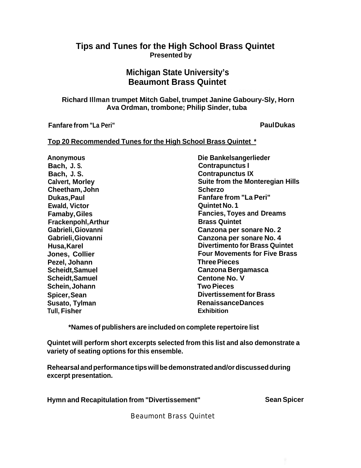### **Tips and Tunes for the High School Brass Quintet Presented by**

### **Michigan State University's Beaumont Brass Quintet**

**Richard Illman trumpet Mitch Gabel, trumpet Janine Gaboury-Sly, Horn Ava Ordman, trombone; Philip Sinder, tuba**

**Fanfare from "La Peri" Paul Dukas**

### **Top 20 Recommended Tunes for the High School Brass Quintet \***

**Anonymous Die Bankelsangerlieder Bach, J. S. Contrapunctus I Bach, J. S. Contrapunctus IX Cheetham, John Scherzo Dukas, Paul Fanfare from "La Peri" Ewald, Victor CONSISTENT CONSISTENT CONSISTENT CONSISTENT CONSISTENT CONSISTENT CONSISTENT CONSISTENT CONSISTENT CONSISTENT CONSISTENT CONSISTENT CONSISTENT CONSISTENT CONSISTENT CONSISTENT CONSISTENT CONSISTENT CONSIST Frackenpohl, Arthur <b>Brass** Quintet **Pezel, Johann Scheidt, Samuel Canzona Bergamasca Scheidt, Samuel <b>Centone No. V** Centone No. V **Schein, Johann Two Pieces Spicer, Sean Divertissement for Brass** Susato, Tylman **Renaissance Dances Tull, Fisher Exhibition**

**Calvert, Morley Suite from the Monteregian Hills Famaby, Giles Fancies, Toyes and Dreams Gabrieli, Giovanni Canzona per sonare No. 2 Gabrieli, Giovanni Canzona per sonare No. 4 Husa, Karel Divertimento for Brass Quintet Jones, Collier Four Movements for Five Brass**<br> **Pezel. Johann** 

**\*Names of publishers are included on complete repertoire list**

**Quintet will perform short excerpts selected from this list and also demonstrate a variety of seating options for this ensemble.**

**Rehearsal and performance tips will be demonstrated and/or discussed during excerpt presentation.**

**Hymn and Recapitulation from "Divertissement" Sean Spicer** 

Beaumont Brass Quintet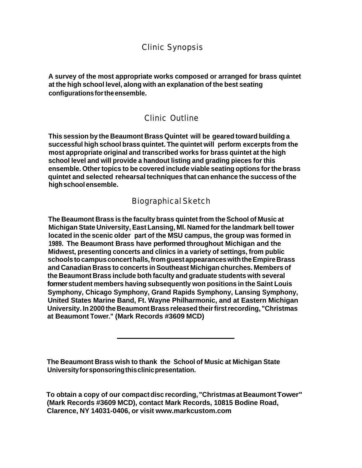### Clinic Synopsis

**A survey of the most appropriate works composed or arranged for brass quintet at the high school level, along with an explanation of the best seating configurations for the ensemble.**

### Clinic Outline

**This session by the Beaumont Brass Quintet will be geared toward building a successful high school brass quintet. The quintet will perform excerpts from the most appropriate original and transcribed works for brass quintet at the high school level and will provide a handout listing and grading pieces for this ensemble. Other topics to be covered include viable seating options for the brass quintet and selected rehearsal techniques that can enhance the success of the high school ensemble.**

### Biographical Sketch

**The Beaumont Brass is the faculty brass quintet from the School of Music at Michigan State University, East Lansing, Ml. Named for the landmark bell tower located in the scenic older part of the MSU campus, the group was formed in 1989. The Beaumont Brass have performed throughout Michigan and the Midwest, presenting concerts and clinics in a variety of settings, from public schools to campus concert halls, from guest appearances with the Empire Brass and Canadian Brass to concerts in Southeast Michigan churches. Members of the Beaumont Brass include both faculty and graduate students with several former student members having subsequently won positions in the Saint Louis Symphony, Chicago Symphony, Grand Rapids Symphony, Lansing Symphony, United States Marine Band, Ft. Wayne Philharmonic, and at Eastern Michigan University. In 2000 the Beaumont Brass released their first recording, "Christmas at Beaumont Tower." (Mark Records #3609 MCD)**

**The Beaumont Brass wish to thank the School of Music at Michigan State University for sponsoring this clinic presentation.**

**To obtain a copy of our compact disc recording, "Christmas at BeaumontTower" (Mark Records #3609 MCD), contact Mark Records, 10815 Bodine Road, Clarence, NY 14031-0406, or visit www.markcustom.com**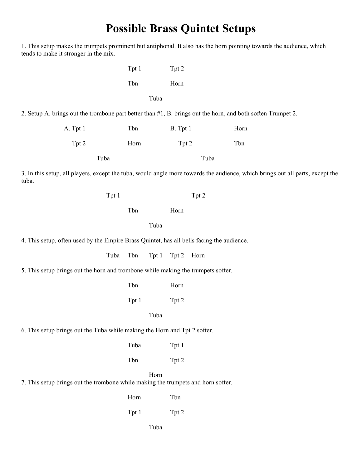# **Possible Brass Quintet Setups**

| 1. This setup makes the trumpets prominent but antiphonal. It also has the horn pointing towards the audience, which<br>tends to make it stronger in the mix. |       |       |       |          |       |      |  |  |  |
|---------------------------------------------------------------------------------------------------------------------------------------------------------------|-------|-------|-------|----------|-------|------|--|--|--|
|                                                                                                                                                               |       | Tpt 1 |       | Tpt 2    |       |      |  |  |  |
|                                                                                                                                                               |       | Tbn   |       | Horn     |       |      |  |  |  |
| Tuba                                                                                                                                                          |       |       |       |          |       |      |  |  |  |
| 2. Setup A. brings out the trombone part better than #1, B. brings out the horn, and both soften Trumpet 2.                                                   |       |       |       |          |       |      |  |  |  |
| A. Tpt 1                                                                                                                                                      |       | Tbn   |       | B. Tpt 1 |       | Horn |  |  |  |
| Tpt 2                                                                                                                                                         |       | Horn  |       | Tpt 2    |       | Tbn  |  |  |  |
|                                                                                                                                                               | Tuba  |       |       |          | Tuba  |      |  |  |  |
| 3. In this setup, all players, except the tuba, would angle more towards the audience, which brings out all parts, except the<br>tuba.                        |       |       |       |          |       |      |  |  |  |
|                                                                                                                                                               | Tpt 1 |       |       |          | Tpt 2 |      |  |  |  |
|                                                                                                                                                               |       | Tbn   |       | Horn     |       |      |  |  |  |
|                                                                                                                                                               |       |       | Tuba  |          |       |      |  |  |  |
| 4. This setup, often used by the Empire Brass Quintet, has all bells facing the audience.                                                                     |       |       |       |          |       |      |  |  |  |
|                                                                                                                                                               | Tuba  | Tbn   | Tpt 1 | Tpt 2    | Horn  |      |  |  |  |
| 5. This setup brings out the horn and trombone while making the trumpets softer.                                                                              |       |       |       |          |       |      |  |  |  |
|                                                                                                                                                               |       | Tbn   |       | Horn     |       |      |  |  |  |
|                                                                                                                                                               |       | Tpt 1 |       | Tpt 2    |       |      |  |  |  |
|                                                                                                                                                               |       |       | Tuba  |          |       |      |  |  |  |
| 6. This setup brings out the Tuba while making the Horn and Tpt 2 softer.                                                                                     |       |       |       |          |       |      |  |  |  |
|                                                                                                                                                               |       | Tuba  |       | Tpt 1    |       |      |  |  |  |
|                                                                                                                                                               |       | Tbn   |       | Tpt 2    |       |      |  |  |  |

Horn

7. This setup brings out the trombone while making the trumpets and horn softer.

 Horn Tbn Tpt 1 Tpt 2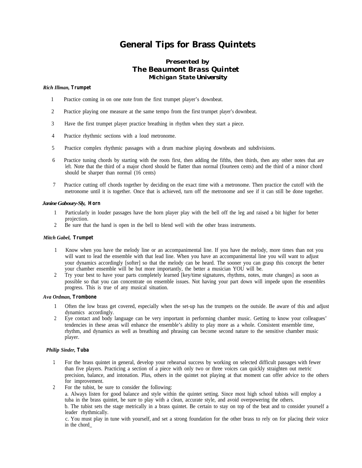# **General Tips for Brass Quintets**

### *Presented by The Beaumont Brass Quintet Michigan State University*

#### *Rich Illman,* **Trumpet**

- 1 Practice coming in on one note from the first trumpet player's downbeat.
- 2 Practice playing one measure at the same tempo from the first trumpet player's downbeat.
- 3 Have the first trumpet player practice breathing in rhythm when they start a piece.
- 4 Practice rhythmic sections with a loud metronome.
- 5 Practice complex rhythmic passages with a drum machine playing downbeats and subdivisions.
- 6 Practice tuning chords by starting with the roots first, then adding the fifths, then thirds, then any other notes that are left. Note that the third of a major chord should be flatter than normal (fourteen cents) and the third of a minor chord should be sharper than normal (16 cents)
- 7 Practice cutting off chords together by deciding on the exact time with a metronome. Then practice the cutoff with the metronome until it is together. Once that is achieved, turn off the metronome and see if it can still be done together.

#### *Janine Gaboury-Sly,* **Horn**

- 1 Particularly in louder passages have the horn player play with the bell off the leg and raised a bit higher for better projection.
- 2 Be sure that the hand is open in the bell to blend well with the other brass instruments.

#### *Mitch Gabel,* **Trumpet**

- 1 Know when you have the melody line or an accompanimental line. If you have the melody, more times than not you will want to lead the ensemble with that lead line. When you have an accompanimental line you will want to adjust your dynamics accordingly [softer] so that the melody can be heard. The sooner you can grasp this concept the better your chamber ensemble will be but more importantly, the better a musician YOU will be.
- 2 Try your best to have your parts completely learned [key/time signatures, rhythms, notes, mute changes] as soon as possible so that you can concentrate on ensemble issues. Not having your part down will impede upon the ensembles progress. This is true of any musical situation.

#### *Ava Ordman,* **Trombone**

- 1 Often the low brass get covered, especially when the set-up has the trumpets on the outside. Be aware of this and adjust dynamics accordingly.
- 2 Eye contact and body language can be very important in performing chamber music. Getting to know your colleagues' tendencies in these areas will enhance the ensemble's ability to play more as a whole. Consistent ensemble time, rhythm, and dynamics as well as breathing and phrasing can become second nature to the sensitive chamber music player.

#### *Philip Sinder,* **Tuba**

- 1 For the brass quintet in general, develop your rehearsal success by working on selected difficult passages with fewer than five players. Practicing a section of a piece with only two or three voices can quickly straighten out metric precision, balance, and intonation. Plus, others in the quintet not playing at that moment can offer advice to the others for improvement.
- 2 For the tubist, be sure to consider the following:

a. Always listen for good balance and style within the quintet setting. Since most high school tubists will employ a tuba in the brass quintet, be sure to play with a clean, accurate style, and avoid overpowering the others. b. The tubist sets the stage metrically in a brass quintet. Be certain to stay on top of the beat and to consider yourself a leader rhythmically.

c. You must play in tune with yourself, and set a strong foundation for the other brass to rely on for placing their voice in the chord\_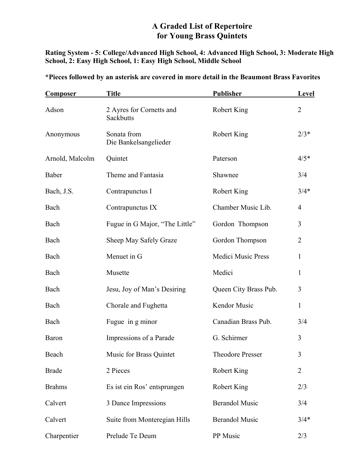### **A Graded List of Repertoire for Young Brass Quintets**

**Rating System - 5: College/Advanced High School, 4: Advanced High School, 3: Moderate High School, 2: Easy High School, 1: Easy High School, Middle School** 

| <b>Composer</b> | <b>Title</b>                          | Publisher                 | Level          |  |
|-----------------|---------------------------------------|---------------------------|----------------|--|
| Adson           | 2 Ayres for Cornetts and<br>Sackbutts | Robert King               | $\overline{2}$ |  |
| Anonymous       | Sonata from<br>Die Bankelsangelieder  | Robert King               | $2/3*$         |  |
| Arnold, Malcolm | Quintet                               | Paterson                  | $4/5*$         |  |
| Baber           | Theme and Fantasia                    | Shawnee                   | 3/4            |  |
| Bach, J.S.      | Contrapunctus I                       | Robert King               | $3/4*$         |  |
| Bach            | Contrapunctus IX                      | Chamber Music Lib.        | $\overline{4}$ |  |
| Bach            | Fugue in G Major, "The Little"        | Gordon Thompson           | 3              |  |
| Bach            | Sheep May Safely Graze                | Gordon Thompson           | $\overline{2}$ |  |
| Bach            | Menuet in G                           | <b>Medici Music Press</b> | 1              |  |
| Bach            | Musette                               | Medici                    | 1              |  |
| Bach            | Jesu, Joy of Man's Desiring           | Queen City Brass Pub.     | 3              |  |
| Bach            | Chorale and Fughetta                  | Kendor Music              | 1              |  |
| Bach            | Fugue in g minor                      | Canadian Brass Pub.       | 3/4            |  |
| Baron           | Impressions of a Parade               | G. Schirmer               | 3              |  |
| Beach           | Music for Brass Quintet               | <b>Theodore Presser</b>   | 3              |  |
| <b>Brade</b>    | 2 Pieces                              | Robert King               | $\overline{2}$ |  |
| <b>Brahms</b>   | Es ist ein Ros' entsprungen           | <b>Robert King</b>        | 2/3            |  |
| Calvert         | 3 Dance Impressions                   | <b>Berandol Music</b>     | 3/4            |  |
| Calvert         | Suite from Monteregian Hills          | <b>Berandol Music</b>     | $3/4*$         |  |
| Charpentier     | Prelude Te Deum                       | PP Music                  | 2/3            |  |

**\*Pieces followed by an asterisk are covered in more detail in the Beaumont Brass Favorites**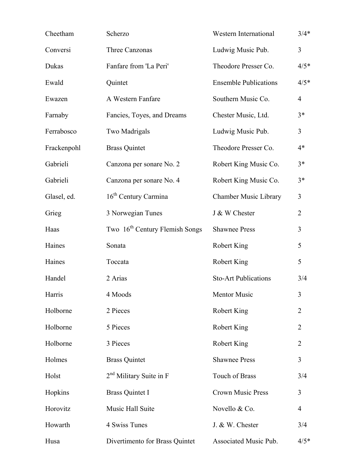| Cheetham    | Scherzo                                    | Western International        | $3/4*$         |
|-------------|--------------------------------------------|------------------------------|----------------|
| Conversi    | Three Canzonas                             | Ludwig Music Pub.            | $\overline{3}$ |
| Dukas       | Fanfare from 'La Peri'                     | Theodore Presser Co.         | $4/5*$         |
| Ewald       | Quintet                                    | <b>Ensemble Publications</b> | $4/5*$         |
| Ewazen      | A Western Fanfare                          | Southern Music Co.           | $\overline{4}$ |
| Farnaby     | Fancies, Toyes, and Dreams                 | Chester Music, Ltd.          | $3*$           |
| Ferrabosco  | Two Madrigals                              | Ludwig Music Pub.            | $\overline{3}$ |
| Frackenpohl | <b>Brass Quintet</b>                       | Theodore Presser Co.         | $4*$           |
| Gabrieli    | Canzona per sonare No. 2                   | Robert King Music Co.        | $3*$           |
| Gabrieli    | Canzona per sonare No. 4                   | Robert King Music Co.        | $3*$           |
| Glasel, ed. | 16 <sup>th</sup> Century Carmina           | Chamber Music Library        | 3              |
| Grieg       | 3 Norwegian Tunes                          | J & W Chester                | $\overline{2}$ |
| Haas        | Two 16 <sup>th</sup> Century Flemish Songs | <b>Shawnee Press</b>         | 3              |
| Haines      | Sonata                                     | Robert King                  | 5              |
| Haines      | Toccata                                    | Robert King                  | 5              |
| Handel      | 2 Arias                                    | <b>Sto-Art Publications</b>  | 3/4            |
| Harris      | 4 Moods                                    | <b>Mentor Music</b>          | 3              |
| Holborne    | 2 Pieces                                   | Robert King                  | $\overline{2}$ |
| Holborne    | 5 Pieces                                   | Robert King                  | $\overline{2}$ |
| Holborne    | 3 Pieces                                   | Robert King                  | $\overline{2}$ |
| Holmes      | <b>Brass Quintet</b>                       | <b>Shawnee Press</b>         | 3              |
| Holst       | $2nd$ Military Suite in F                  | Touch of Brass               | 3/4            |
| Hopkins     | <b>Brass Quintet I</b>                     | <b>Crown Music Press</b>     | 3              |
| Horovitz    | Music Hall Suite                           | Novello & Co.                | 4              |
| Howarth     | 4 Swiss Tunes                              | J. & W. Chester              | 3/4            |
| Husa        | Divertimento for Brass Quintet             | Associated Music Pub.        | $4/5*$         |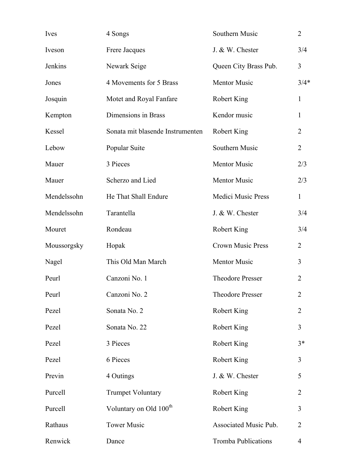| Ives        | 4 Songs                            | Southern Music             | $\overline{2}$ |
|-------------|------------------------------------|----------------------------|----------------|
| Iveson      | Frere Jacques                      | J. & W. Chester            | 3/4            |
| Jenkins     | Newark Seige                       | Queen City Brass Pub.      | $\overline{3}$ |
| Jones       | 4 Movements for 5 Brass            | Mentor Music               | $3/4*$         |
| Josquin     | Motet and Royal Fanfare            | Robert King                | 1              |
| Kempton     | Dimensions in Brass                | Kendor music               | $\mathbf{1}$   |
| Kessel      | Sonata mit blasende Instrumenten   | Robert King                | $\overline{2}$ |
| Lebow       | Popular Suite                      | Southern Music             | $\overline{2}$ |
| Mauer       | 3 Pieces                           | Mentor Music               | 2/3            |
| Mauer       | Scherzo and Lied                   | <b>Mentor Music</b>        | 2/3            |
| Mendelssohn | He That Shall Endure               | <b>Medici Music Press</b>  | $\mathbf{1}$   |
| Mendelssohn | Tarantella                         | J. & W. Chester            | 3/4            |
| Mouret      | Rondeau                            | Robert King                | 3/4            |
| Moussorgsky | Hopak                              | <b>Crown Music Press</b>   | 2              |
| Nagel       | This Old Man March                 | <b>Mentor Music</b>        | 3              |
| Peurl       | Canzoni No. 1                      | <b>Theodore Presser</b>    | $\overline{2}$ |
| Peurl       | Canzoni No. 2                      | Theodore Presser           | 2              |
| Pezel       | Sonata No. 2                       | Robert King                | $\overline{2}$ |
| Pezel       | Sonata No. 22                      | Robert King                | 3              |
| Pezel       | 3 Pieces                           | Robert King                | $3*$           |
| Pezel       | 6 Pieces                           | Robert King                | 3              |
| Previn      | 4 Outings                          | J. & W. Chester            | 5              |
| Purcell     | <b>Trumpet Voluntary</b>           | Robert King                | $\overline{2}$ |
| Purcell     | Voluntary on Old 100 <sup>th</sup> | Robert King                | 3              |
| Rathaus     | <b>Tower Music</b>                 | Associated Music Pub.      | $\overline{2}$ |
| Renwick     | Dance                              | <b>Tromba Publications</b> | 4              |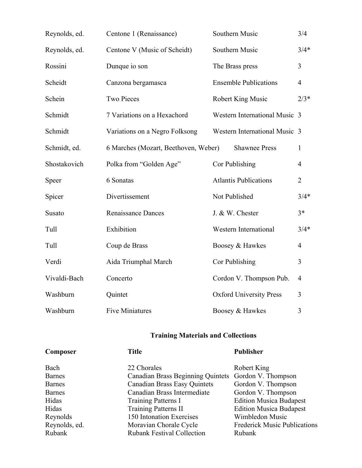| Reynolds, ed. | Centone 1 (Renaissance)              | Southern Music                 | 3/4            |
|---------------|--------------------------------------|--------------------------------|----------------|
| Reynolds, ed. | Centone V (Music of Scheidt)         | Southern Music                 | $3/4*$         |
| Rossini       | Dunque io son                        | The Brass press                | 3              |
| Scheidt       | Canzona bergamasca                   | <b>Ensemble Publications</b>   | $\overline{4}$ |
| Schein        | <b>Two Pieces</b>                    | Robert King Music              | $2/3*$         |
| Schmidt       | 7 Variations on a Hexachord          | Western International Music 3  |                |
| Schmidt       | Variations on a Negro Folksong       | Western International Music 3  |                |
| Schmidt, ed.  | 6 Marches (Mozart, Beethoven, Weber) | <b>Shawnee Press</b>           | $\mathbf{1}$   |
| Shostakovich  | Polka from "Golden Age"              | Cor Publishing                 | $\overline{4}$ |
| Speer         | 6 Sonatas                            | <b>Atlantis Publications</b>   | $\overline{2}$ |
| Spicer        | Divertissement                       | Not Published                  | $3/4*$         |
| Susato        | <b>Renaissance Dances</b>            | J. & W. Chester                | $3*$           |
| Tull          | Exhibition                           | <b>Western International</b>   | $3/4*$         |
| Tull          | Coup de Brass                        | Boosey & Hawkes                | $\overline{4}$ |
| Verdi         | Aida Triumphal March                 | Cor Publishing                 | 3              |
| Vivaldi-Bach  | Concerto                             | Cordon V. Thompson Pub.        | $\overline{4}$ |
| Washburn      | Quintet                              | <b>Oxford University Press</b> | 3              |
| Washburn      | <b>Five Miniatures</b>               | Boosey & Hawkes                | 3              |

## **Training Materials and Collections**

| Composer      | <b>Title</b>                                         |                                     |
|---------------|------------------------------------------------------|-------------------------------------|
| Bach          | 22 Chorales                                          | Robert King                         |
| <b>Barnes</b> | Canadian Brass Beginning Quintets Gordon V. Thompson |                                     |
| Barnes        | <b>Canadian Brass Easy Quintets</b>                  | Gordon V. Thompson                  |
| <b>Barnes</b> | Canadian Brass Intermediate                          | Gordon V. Thompson                  |
| Hidas         | Training Patterns I                                  | <b>Edition Musica Budapest</b>      |
| Hidas         | <b>Training Patterns II</b>                          | <b>Edition Musica Budapest</b>      |
| Reynolds      | 150 Intonation Exercises                             | Wimbledon Music                     |
| Reynolds, ed. | Moravian Chorale Cycle                               | <b>Frederick Music Publications</b> |
| Rubank        | <b>Rubank Festival Collection</b>                    | Rubank                              |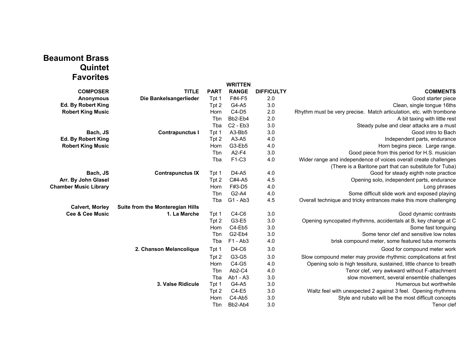## **Beaumont Brass Quintet Favorites**

|                              |                                  |             | <b>WRITTEN</b> |                   |                                                                     |
|------------------------------|----------------------------------|-------------|----------------|-------------------|---------------------------------------------------------------------|
| <b>COMPOSER</b>              | <b>TITLE</b>                     | <b>PART</b> | <b>RANGE</b>   | <b>DIFFICULTY</b> | <b>COMMENTS</b>                                                     |
| <b>Anonymous</b>             | Die Bankelsangerlieder           | Tpt 1       | F#4-F5         | 2.0               | Good starter piece                                                  |
| Ed. By Robert King           |                                  | Tpt 2       | G4-A5          | 3.0               | Clean, single tongue 16ths                                          |
| <b>Robert King Music</b>     |                                  | Horn        | $C4-D5$        | 2.0               | Rhythm must be very precise. Match articulation, etc. with trombone |
|                              |                                  | Tbn         | Bb2-Eb4        | 2.0               | A bit taxing with little rest                                       |
|                              |                                  | Tba         | $C2 - Eb3$     | 3.0               | Steady pulse and clear attacks are a must                           |
| Bach, JS                     | <b>Contrapunctus I</b>           | Tpt 1       | A3-Bb5         | 3.0               | Good intro to Bach                                                  |
| Ed. By Robert King           |                                  | Tpt 2       | A3-A5          | 4.0               | Independent parts, endurance                                        |
| <b>Robert King Music</b>     |                                  | Horn        | G3-Eb5         | 4.0               | Horn begins piece. Large range.                                     |
|                              |                                  | Tbn         | A2-F4          | 3.0               | Good piece from this period for H.S. musician                       |
|                              |                                  | Tba         | F1-C3          | 4.0               | Wider range and independence of voices overall create challenges    |
|                              |                                  |             |                |                   | (There is a Baritone part that can substitute for Tuba)             |
| Bach, JS                     | <b>Contrapunctus IX</b>          | Tpt 1       | D4-A5          | 4.0               | Good for steady eighth note practice                                |
| Arr. By John Glasel          |                                  | Tpt 2       | C#4-A5         | 4.5               | Opening solo, independent parts, endurance                          |
| <b>Chamber Music Library</b> |                                  | Horn        | F#3-D5         | 4.0               | Long phrases                                                        |
|                              |                                  | Tbn         | G2-A4          | 4.0               | Some difficult slide work and exposed playing                       |
|                              |                                  | Tba         | G1 - Ab3       | 4.5               | Overall technique and tricky entrances make this more challenging   |
| <b>Calvert, Morley</b>       | Suite from the Monteregian Hills |             |                |                   |                                                                     |
| <b>Cee &amp; Cee Music</b>   | 1. La Marche                     | Tpt 1       | $C4-C6$        | 3.0               | Good dynamic contrasts                                              |
|                              |                                  | Tpt 2       | G3-E5          | 3.0               | Opening syncopated rhythmns, accidentals at B, key change at C      |
|                              |                                  | Horn        | C4-Eb5         | 3.0               | Some fast tonguing                                                  |
|                              |                                  | Tbn         | G2-Eb4         | 3.0               | Some tenor clef and sensitive low notes                             |
|                              |                                  | Tba         | $F1 - Ab3$     | 4.0               | brisk compound meter, some featured tuba moments                    |
|                              | 2. Chanson Melancolique          | Tpt 1       | D4-C6          | 3.0               | Good for compound meter work                                        |
|                              |                                  | Tpt 2       | G3-G5          | 3.0               | Slow compound meter may provide rhythmic complications at first     |
|                              |                                  | Horn        | C4-G5          | 4.0               | Opening solo is high tessitura, sustained, little chance to breath  |
|                              |                                  | Tbn         | Ab2-C4         | 4.0               | Tenor clef, very awkward without F-attachment                       |
|                              |                                  | Tba         | Ab1 - A3       | 3.0               | slow movement, several ensemble challenges                          |
|                              | 3. Valse Ridicule                | Tpt 1       | G4-A5          | 3.0               | Humerous but worthwhile                                             |
|                              |                                  | Tpt 2       | C4-E5          | 3.0               | Waltz feel with unexpected 2 against 3 feel. Opening rhythmns       |
|                              |                                  | Horn        | C4-Ab5         | 3.0               | Style and rubato will be the most difficult concepts                |
|                              |                                  | Tbn         | Bb2-Ab4        | 3.0               | Tenor clef                                                          |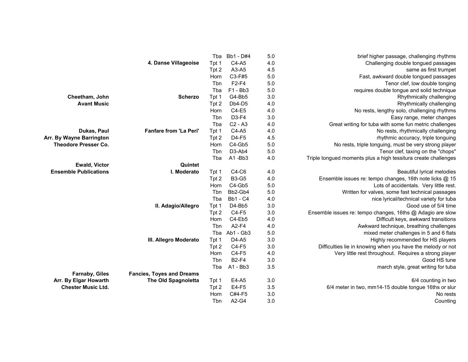|                              |                                  | Tba   | Bb1 - D#4       | 5.0 | brief higher passage, challenging rhythms                      |
|------------------------------|----------------------------------|-------|-----------------|-----|----------------------------------------------------------------|
|                              | 4. Danse Villageoise             | Tpt 1 | C4-A5           | 4.0 | Challenging double tongued passages                            |
|                              |                                  | Tpt 2 | A3-A5           | 4.5 | same as first trumpet                                          |
|                              |                                  | Horn  | C3-F#5          | 5.0 | Fast, awkward double tongued passages                          |
|                              |                                  | Tbn   | $F2-F4$         | 5.0 | Tenor clef, low double tonging                                 |
|                              |                                  | Tba   | $F1 - Bb3$      | 5.0 | requires double tongue and solid technique                     |
| Cheetham, John               | <b>Scherzo</b>                   | Tpt 1 | G4-Bb5          | 3.0 | Rhythmically challenging                                       |
| <b>Avant Music</b>           |                                  | Tpt 2 | Db4-D5          | 4.0 | Rhythmically challenging                                       |
|                              |                                  | Horn  | C4-E5           | 4.0 | No rests, lengthy solo, challenging rhythms                    |
|                              |                                  | Tbn   | D3-F4           | 3.0 | Easy range, meter changes                                      |
|                              |                                  | Tba   | $C2 - A3$       | 4.0 | Great writing for tuba with some fun metric challenges         |
| Dukas, Paul                  | <b>Fanfare from 'La Peri'</b>    | Tpt 1 | C4-A5           | 4.0 | No rests, rhythmically challenging                             |
| Arr. By Wayne Barrington     |                                  | Tpt 2 | D4-F5           | 4.5 | rhythmic accuracy, triple tonguing                             |
| <b>Theodore Presser Co.</b>  |                                  | Horn  | C4-Gb5          | 5.0 | No rests, triple tonguing, must be very strong player          |
|                              |                                  | Tbn   | D3-Ab4          | 5.0 | Tenor clef, taxing on the "chops"                              |
|                              |                                  | Tba   | A1-Bb3          | 4.0 | Triple tongued moments plus a high tessitura create challenges |
| <b>Ewald, Victor</b>         | Quintet                          |       |                 |     |                                                                |
| <b>Ensemble Publications</b> | I. Moderato                      | Tpt 1 | $C4-C6$         | 4.0 | Beautiful lyrical melodies                                     |
|                              |                                  | Tpt 2 | <b>B3-G5</b>    | 4.0 | Ensemble issues re: tempo changes, 16th note licks @ 15        |
|                              |                                  | Horn  | C4-Gb5          | 5.0 | Lots of accidentals. Very little rest.                         |
|                              |                                  | Tbn   | Bb2-Gb4         | 5.0 | Written for valves, some fast technical passages               |
|                              |                                  | Tba   | <b>Bb1 - C4</b> | 4.0 | nice lyrical/technical variety for tuba                        |
|                              | II. Adagio/Allegro               | Tpt 1 | D4-Bb5          | 3.0 | Good use of 5/4 time                                           |
|                              |                                  | Tpt 2 | C4-F5           | 3.0 | Ensemble issues re: tempo changes, 16ths @ Adagio are slow     |
|                              |                                  | Horn  | C4-Eb5          | 4.0 | Difficult keys, awkward transitions                            |
|                              |                                  | Tbn   | A2-F4           | 4.0 | Awkward technique, breathing challenges                        |
|                              |                                  | Tba   | Ab1 - Gb3       | 5.0 | mixed meter challenges in 5 and 6 flats                        |
|                              | III. Allegro Moderato            | Tpt 1 | D4-A5           | 3.0 | Highly recommended for HS players                              |
|                              |                                  | Tpt 2 | $C4-F5$         | 3.0 | Difficulties lie in knowing when you have the melody or not    |
|                              |                                  | Horn  | C4-F5           | 4.0 | Very little rest throughout. Requires a strong player          |
|                              |                                  | Tbn   | <b>B2-F4</b>    | 3.0 | Good HS tune                                                   |
|                              |                                  | Tba   | A1 - Bb3        | 3.5 | march style, great writing for tuba                            |
| <b>Farnaby, Giles</b>        | <b>Fancies, Toyes and Dreams</b> |       |                 |     |                                                                |
| Arr. By Elgar Howarth        | <b>The Old Spagnoletta</b>       | Tpt 1 | E4-A5           | 3.0 | 6/4 counting in two                                            |
| <b>Chester Music Ltd.</b>    |                                  | Tpt 2 | E4-F5           | 3.5 | 6/4 meter in two, mm14-15 double tongue 16ths or slur          |
|                              |                                  | Horn  | C#4-F5          | 3.0 | No rests                                                       |
|                              |                                  | Tbn   | A2-G4           | 3.0 | Counting                                                       |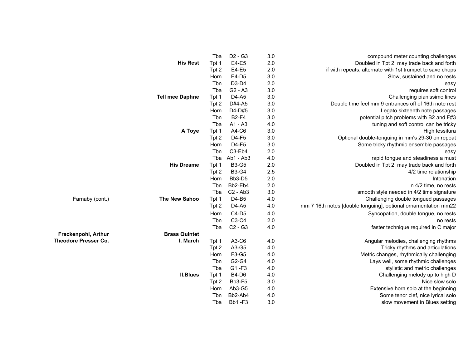|                             |                        | Tba   | D <sub>2</sub> - G <sub>3</sub> | 3.0 | compound meter counting challenges                             |
|-----------------------------|------------------------|-------|---------------------------------|-----|----------------------------------------------------------------|
|                             | <b>His Rest</b>        | Tpt 1 | E4-E5                           | 2.0 | Doubled in Tpt 2, may trade back and forth                     |
|                             |                        | Tpt 2 | E4-E5                           | 2.0 | if with repeats, alternate with 1st trumpet to save chops      |
|                             |                        | Horn  | E4-D5                           | 3.0 | Slow, sustained and no rests                                   |
|                             |                        | Tbn   | D3-D4                           | 2.0 | easy                                                           |
|                             |                        | Tba   | $G2 - A3$                       | 3.0 | requires soft control                                          |
|                             | <b>Tell mee Daphne</b> | Tpt 1 | D4-A5                           | 3.0 | Challenging pianissimo lines                                   |
|                             |                        | Tpt 2 | D#4-A5                          | 3.0 | Double time feel mm 9 entrances off of 16th note rest          |
|                             |                        | Horn  | D4-D#5                          | 3.0 | Legato sixteenth note passages                                 |
|                             |                        | Tbn   | <b>B2-F4</b>                    | 3.0 | potential pitch problems with B2 and F#3                       |
|                             |                        | Tba   | A1 - A3                         | 4.0 | tuning and soft control can be tricky                          |
|                             | A Toye                 | Tpt 1 | A4-C6                           | 3.0 | High tessitura                                                 |
|                             |                        | Tpt 2 | D4-F5                           | 3.0 | Optional double-tonguing in mm's 29-30 on repeat               |
|                             |                        | Horn  | D4-F5                           | 3.0 | Some tricky rhythmic ensemble passages                         |
|                             |                        | Tbn   | C3-Eb4                          | 2.0 | easy                                                           |
|                             |                        | Tba   | Ab1 - Ab3                       | 4.0 | rapid tongue and steadiness a must                             |
|                             | <b>His Dreame</b>      | Tpt 1 | <b>B3-G5</b>                    | 2.0 | Doubled in Tpt 2, may trade back and forth                     |
|                             |                        | Tpt 2 | <b>B3-G4</b>                    | 2.5 | 4/2 time relationship                                          |
|                             |                        | Horn  | Bb3-D5                          | 2.0 | Intonation                                                     |
|                             |                        | Tbn   | Bb2-Eb4                         | 2.0 | In 4/2 time, no rests                                          |
|                             |                        | Tba   | $C2 - Ab3$                      | 3.0 | smooth style needed in 4/2 time signature                      |
| Farnaby (cont.)             | The New Sahoo          | Tpt 1 | D4-B5                           | 4.0 | Challenging double tongued passages                            |
|                             |                        | Tpt 2 | D4-A5                           | 4.0 | mm 7 16th notes [double tonguing], optional ornamentation mm22 |
|                             |                        | Horn  | $C4-D5$                         | 4.0 | Syncopation, double tongue, no rests                           |
|                             |                        | Tbn   | C3-C4                           | 2.0 | no rests                                                       |
|                             |                        | Tba   | $C2 - G3$                       | 4.0 | faster technique required in C major                           |
| Frackenpohl, Arthur         | <b>Brass Quintet</b>   |       |                                 |     |                                                                |
| <b>Theodore Presser Co.</b> | I. March               | Tpt 1 | A3-C6                           | 4.0 | Angular melodies, challenging rhythms                          |
|                             |                        | Tpt 2 | A3-G5                           | 4.0 | Tricky rhythms and articulations                               |
|                             |                        | Horn  | F3-G5                           | 4.0 | Metric changes, rhythmically challenging                       |
|                             |                        | Tbn   | G2-G4                           | 4.0 | Lays well, some rhythmic challenges                            |
|                             |                        | Tba   | G1-F3                           | 4.0 | stylistic and metric challenges                                |
|                             | <b>II.Blues</b>        | Tpt 1 | <b>B4-D6</b>                    | 4.0 | Challenging melody up to high D                                |
|                             |                        | Tpt 2 | Bb3-F5                          | 3.0 | Nice slow solo                                                 |
|                             |                        | Horn  | Ab3-G5                          | 4.0 | Extensive horn solo at the beginning                           |
|                             |                        | Tbn   | Bb2-Ab4                         | 4.0 | Some tenor clef, nice lyrical solo                             |
|                             |                        | Tba   | <b>Bb1-F3</b>                   | 3.0 | slow movement in Blues setting                                 |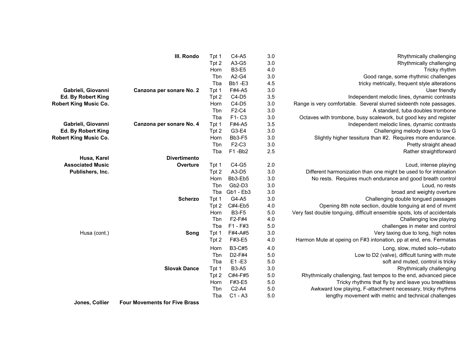|                              | III. Rondo               | Tpt 1       | $C4-A5$       | 3.0     | Rhythmically challenging                                                 |
|------------------------------|--------------------------|-------------|---------------|---------|--------------------------------------------------------------------------|
|                              |                          | Tpt 2       | A3-G5         | 3.0     | Rhythmically challenging                                                 |
|                              |                          | Horn        | <b>B3-E5</b>  | 4.0     | Tricky rhythm                                                            |
|                              |                          | Tbn         | A2-G4         | 3.0     | Good range, some rhythmic challenges                                     |
|                              |                          | Tba         | <b>Bb1-E3</b> | 4.5     | tricky metrically, frequent style alterations                            |
| Gabrieli, Giovanni           | Canzona per sonare No. 2 | Tpt 1       | F#4-A5        | 3.0     | User friendly                                                            |
| Ed. By Robert King           |                          | Tpt 2       | $C4-D5$       | 3.5     | Independent melodic lines, dynamic contrasts                             |
| <b>Robert King Music Co.</b> |                          | Horn        | $C4-D5$       | 3.0     | Range is very comfortable. Several slurred sixteenth note passages.      |
|                              |                          | Tbn         | F2-C4         | 3.0     | A standard, tuba doubles trombone                                        |
|                              |                          | Tba         | F1-C3         | 3.0     | Octaves with trombone, busy scalework, but good key and register         |
| Gabrieli, Giovanni           | Canzona per sonare No. 4 | Tpt 1       | F#4-A5        | 3.5     | Independent melodic lines, dynamic contrasts                             |
| Ed. By Robert King           |                          | Tpt 2       | G3-E4         | 3.0     | Challenging melody down to low G                                         |
| <b>Robert King Music Co.</b> |                          | Horn        | Bb3-F5        | 3.0     | Slightly higher tessitura than #2. Requires more endurance.              |
|                              |                          | Tbn         | F2-C3         | $3.0\,$ | Pretty straight ahead                                                    |
|                              |                          | Tba         | F1-Bb2        | 2.5     | Rather straightforward                                                   |
| Husa, Karel                  | <b>Divertimento</b>      |             |               |         |                                                                          |
| <b>Associated Music</b>      | Overture                 | Tpt 1       | C4-G5         | 2.0     | Loud, intense playing                                                    |
| Publishers, Inc.             |                          | Tpt 2       | A3-D5         | 3.0     | Different harmonization than one might be used to for intonation         |
|                              |                          | Horn        | Bb3-Eb5       | 3.0     | No rests. Requires much endurance and good breath control                |
|                              |                          | Tbn         | Gb2-D3        | 3.0     | Loud, no rests                                                           |
|                              |                          | Tba         | Gb1 - Eb3     | 3.0     | broad and weighty overture                                               |
|                              | <b>Scherzo</b>           | Tpt 1       | G4-A5         | 3.0     | Challenging double tongued passages                                      |
|                              |                          | Tpt 2       | C#4-Eb5       | 4.0     | Opening 8th note section, double tonguing at end of mvmt                 |
|                              |                          | Horn        | <b>B3-F5</b>  | 5.0     | Very fast double tonguing, difficult ensemble spots, lots of accidentals |
|                              |                          | <b>T</b> bn | F2-F#4        | 4.0     | Challenging low playing                                                  |
|                              |                          | Tba         | $F1 - F#3$    | $5.0\,$ | challenges in meter and control                                          |
| Husa (cont.)                 | Song                     | Tpt 1       | F#4-A#5       | 3.0     | Very taxing due to long, high notes                                      |
|                              |                          | Tpt 2       | F#3-E5        | 4.0     | Harmon Mute at opeing on F#3 intonation, pp at end, ens. Fermatas        |
|                              |                          | Horn        | <b>B3-C#5</b> | 4.0     | Long, slow, muted solo--rubato                                           |
|                              |                          | Tbn         | D2-F#4        | 5.0     | Low to D2 (valve), difficult tuning with mute                            |
|                              |                          | Tba         | E1-E3         | 5.0     | soft and muted, control is tricky                                        |
|                              | <b>Slovak Dance</b>      | Tpt 1       | <b>B3-A5</b>  | 3.0     | Rhythmically challenging                                                 |
|                              |                          | Tpt 2       | C#4-F#5       | $5.0\,$ | Rhythmically challenging, fast tempos to the end, advanced piece         |
|                              |                          | Horn        | F#3-E5        | $5.0\,$ | Tricky rhythms that fly by and leave you breathless                      |
|                              |                          | Tbn         | $C2-A4$       | 5.0     | Awkward low playing, F-attachment necessary, tricky rhythms              |
|                              |                          | Tba         | $C1 - A3$     | 5.0     | lengthy movement with metric and technical challenges                    |

**Jones, Collier Four Movements for Five Brass**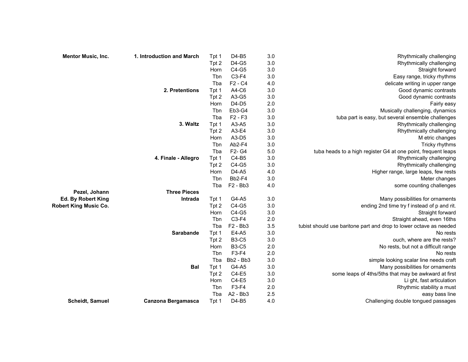| Mentor Music, Inc.           | 1. Introduction and March | Tpt 1 | D4-B5                           | 3.0     | Rhythmically challenging                                           |
|------------------------------|---------------------------|-------|---------------------------------|---------|--------------------------------------------------------------------|
|                              |                           | Tpt 2 | D4-G5                           | 3.0     | Rhythmically challenging                                           |
|                              |                           | Horn  | C4-G5                           | 3.0     | Straight forward                                                   |
|                              |                           | Tbn   | $C3-F4$                         | $3.0\,$ | Easy range, tricky rhythms                                         |
|                              |                           | Tba   | F2 - C4                         | 4.0     | delicate writing in upper range                                    |
|                              | 2. Pretentions            | Tpt 1 | A4-C6                           | 3.0     | Good dynamic contrasts                                             |
|                              |                           | Tpt 2 | A3-G5                           | $3.0\,$ | Good dynamic contrasts                                             |
|                              |                           | Horn  | $D4-D5$                         | 2.0     | Fairly easy                                                        |
|                              |                           | Tbn   | Eb3-G4                          | $3.0\,$ | Musically challenging, dynamics                                    |
|                              |                           | Tba   | $F2 - F3$                       | $3.0\,$ | tuba part is easy, but several ensemble challenges                 |
|                              | 3. Waltz                  | Tpt 1 | A3-A5                           | $3.0\,$ | Rhythmically challenging                                           |
|                              |                           | Tpt 2 | A3-E4                           | 3.0     | Rhythmically challenging                                           |
|                              |                           | Horn  | A3-D5                           | $3.0\,$ | M etric changes                                                    |
|                              |                           | Tbn   | Ab2-F4                          | 3.0     | Tricky rhythms                                                     |
|                              |                           | Tba   | F <sub>2</sub> - G <sub>4</sub> | 5.0     | tuba heads to a high register G4 at one point, frequent leaps      |
|                              | 4. Finale - Allegro       | Tpt 1 | $C4-B5$                         | 3.0     | Rhythmically challenging                                           |
|                              |                           | Tpt 2 | C4-G5                           | $3.0\,$ | Rhythmically challenging                                           |
|                              |                           | Horn  | D4-A5                           | 4.0     | Higher range, large leaps, few rests                               |
|                              |                           | Tbn   | Bb2-F4                          | 3.0     | Meter changes                                                      |
|                              |                           | Tba   | F2 - Bb3                        | 4.0     | some counting challenges                                           |
| Pezel, Johann                | <b>Three Pieces</b>       |       |                                 |         |                                                                    |
| Ed. By Robert King           | Intrada                   | Tpt 1 | G4-A5                           | 3.0     | Many possibilities for ornaments                                   |
| <b>Robert King Music Co.</b> |                           | Tpt 2 | C4-G5                           | $3.0\,$ | ending 2nd time try f instead of p and rit.                        |
|                              |                           | Horn  | C4-G5                           | 3.0     | Straight forward                                                   |
|                              |                           | Tbn   | $C3-F4$                         | 2.0     | Straight ahead, even 16ths                                         |
|                              |                           | Tba   | F2 - Bb3                        | 3.5     | tubist should use baritone part and drop to lower octave as needed |
|                              | Sarabande                 | Tpt 1 | E4-A5                           | 3.0     | No rests                                                           |
|                              |                           | Tpt 2 | <b>B3-C5</b>                    | 3.0     | ouch, where are the rests?                                         |
|                              |                           | Horn  | <b>B3-C5</b>                    | 2.0     | No rests, but not a difficult range                                |
|                              |                           | Tbn   | F3-F4                           | 2.0     | No rests                                                           |
|                              |                           | Tba   | Bb2 - Bb3                       | $3.0\,$ | simple looking scalar line needs craft                             |
|                              | <b>Bal</b>                | Tpt 1 | G4-A5                           | $3.0\,$ | Many possibilities for ornaments                                   |
|                              |                           | Tpt 2 | C4-E5                           | 3.0     | some leaps of 4ths/5ths that may be awkward at first               |
|                              |                           | Horn  | $C4-E5$                         | $3.0\,$ | Li ght, fast articulation                                          |
|                              |                           | Tbn   | F3-F4                           | 2.0     | Rhythmic stability a must                                          |
|                              |                           | Tba   | A2 - Bb3                        | 2.5     | easy bass line                                                     |
| Scheidt, Samuel              | Canzona Bergamasca        | Tpt 1 | D4-B5                           | 4.0     | Challenging double tongued passages                                |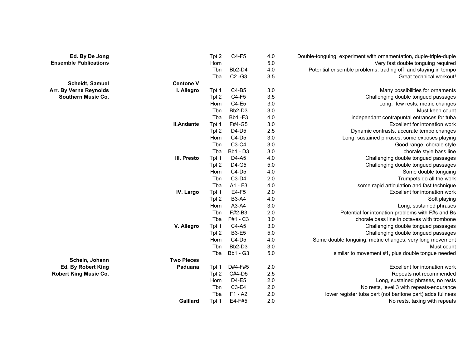| Ed. By De Jong               |                   | Tpt 2 | $C4-F5$         | 4.0 | Double-tonguing, experiment with ornamentation, duple-triple-duple |
|------------------------------|-------------------|-------|-----------------|-----|--------------------------------------------------------------------|
| <b>Ensemble Publications</b> |                   | Horn  |                 | 5.0 | Very fast double tonguing required                                 |
|                              |                   | Tbn   | Bb2-D4          | 4.0 | Potential ensemble problems, trading off and staying in tempo      |
|                              |                   | Tba   | $C2 - G3$       | 3.5 | Great technical workout!                                           |
| <b>Scheidt, Samuel</b>       | <b>Centone V</b>  |       |                 |     |                                                                    |
| Arr. By Verne Reynolds       | I. Allegro        | Tpt 1 | C4-B5           | 3.0 | Many possibilities for ornaments                                   |
| <b>Southern Music Co.</b>    |                   | Tpt 2 | $C4-F5$         | 3.5 | Challenging double tongued passages                                |
|                              |                   | Horn  | C4-E5           | 3.0 | Long, few rests, metric changes                                    |
|                              |                   | Tbn   | Bb2-D3          | 3.0 | Must keep count                                                    |
|                              |                   | Tba   | <b>Bb1-F3</b>   | 4.0 | independant contrapuntal entrances for tuba                        |
|                              | <b>II.Andante</b> | Tpt 1 | F#4-G5          | 3.0 | Excellent for intonation work                                      |
|                              |                   | Tpt 2 | D4-D5           | 2.5 | Dynamic contrasts, accurate tempo changes                          |
|                              |                   | Horn  | $C4-D5$         | 3.0 | Long, sustained phrases, some exposes playing                      |
|                              |                   | Tbn   | C3-C4           | 3.0 | Good range, chorale style                                          |
|                              |                   | Tba   | <b>Bb1 - D3</b> | 3.0 | chorale style bass line                                            |
|                              | III. Presto       | Tpt 1 | D4-A5           | 4.0 | Challenging double tongued passages                                |
|                              |                   | Tpt 2 | D4-G5           | 5.0 | Challenging double tongued passages                                |
|                              |                   | Horn  | $C4-D5$         | 4.0 | Some double tonguing                                               |
|                              |                   | Tbn   | C3-D4           | 2.0 | Trumpets do all the work                                           |
|                              |                   | Tba   | A1 - F3         | 4.0 | some rapid articulation and fast technique                         |
|                              | IV. Largo         | Tpt 1 | E4-F5           | 2.0 | Excellent for intonation work                                      |
|                              |                   | Tpt 2 | <b>B3-A4</b>    | 4.0 | Soft playing                                                       |
|                              |                   | Horn  | A3-A4           | 3.0 | Long, sustained phrases                                            |
|                              |                   | Tbn   | F#2-B3          | 2.0 | Potential for intonation problems with F#s and Bs                  |
|                              |                   | Tba   | F#1 - C3        | 3.0 | chorale bass line in octaves with trombone                         |
|                              | V. Allegro        | Tpt 1 | C4-A5           | 3.0 | Challenging double tongued passages                                |
|                              |                   | Tpt 2 | <b>B3-E5</b>    | 5.0 | Challenging double tongued passages                                |
|                              |                   | Horn  | $C4-D5$         | 4.0 | Some double tonguing, metric changes, very long movement           |
|                              |                   | Tbn   | Bb2-D3          | 3.0 | Must count                                                         |
|                              |                   | Tba   | <b>Bb1 - G3</b> | 5.0 | similar to movement #1, plus double tongue needed                  |
| Schein, Johann               | <b>Two Pieces</b> |       |                 |     |                                                                    |
| Ed. By Robert King           | Paduana           | Tpt 1 | D#4-F#5         | 2.0 | Excellent for intonation work                                      |
| <b>Robert King Music Co.</b> |                   | Tpt 2 | C#4-D5          | 2.5 | Repeats not recommended                                            |
|                              |                   | Horn  | D4-E5           | 2.0 | Long, sustained phrases, no rests                                  |
|                              |                   | Tbn   | C3-E4           | 2.0 | No rests, level 3 with repeats-endurance                           |
|                              |                   | Tba   | $F1 - A2$       | 2.0 | lower register tuba part (not baritone part) adds fullness         |
|                              | Gaillard          | Tpt 1 | E4-F#5          | 2.0 | No rests, taxing with repeats                                      |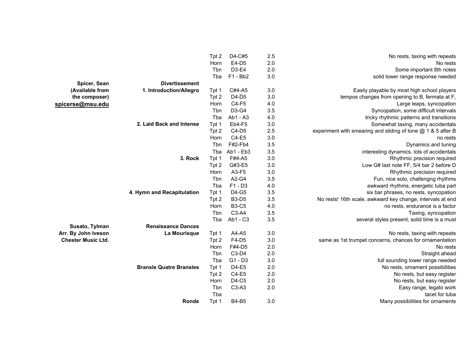|                           |                                | Tpt 2 | D4-C#5       | 2.5 | No rests, taxing with repeats                                |
|---------------------------|--------------------------------|-------|--------------|-----|--------------------------------------------------------------|
|                           |                                | Horn  | E4-D5        | 2.0 | No rests                                                     |
|                           |                                | Tbn   | D3-E4        | 2.0 | Some important 8th notes                                     |
|                           |                                | Tba   | $F1 - Bb2$   | 3.0 | solid lower range response needed                            |
| Spicer, Sean              | <b>Divertissement</b>          |       |              |     |                                                              |
| (Available from           | 1. Introduction/Allegro        | Tpt 1 | C#4-A5       | 3.0 | Easily playable by most high school players                  |
| the composer)             |                                | Tpt 2 | D4-D5        | 3.0 | tempos changes from opening to B, fermata at F,              |
| spicerse@msu.edu          |                                | Horn  | C4-F5        | 4.0 | Large leaps, syncopation                                     |
|                           |                                | Tbn   | D3-G4        | 3.5 | Syncopation, some difficult intervals                        |
|                           |                                | Tba   | Ab1 - A3     | 4.0 | tricky rhythmic patterns and transitions                     |
|                           | 2. Laid Back and Intense       | Tpt 1 | Eb4-F5       | 3.0 | Somewhat taxing, many accidentals                            |
|                           |                                | Tpt 2 | $C4-D5$      | 2.5 | experiment with smearing and sliding of tone @ 1 & 5 after B |
|                           |                                | Horn  | C4-E5        | 3.0 | no rests                                                     |
|                           |                                | Tbn   | F#2-Fb4      | 3.5 | Dynamics and tuning                                          |
|                           |                                | Tba   | Ab1 - Eb3    | 3.5 | interesting dynamics, lots of accidentals                    |
|                           | 3. Rock                        | Tpt 1 | F#4-A5       | 3.0 | Rhythmic precision required                                  |
|                           |                                | Tpt 2 | G#3-E5       | 3.0 | Low G# last note FF, 5/4 bar 2 before D                      |
|                           |                                | Horn  | A3-F5        | 3.0 | Rhythmic precision required                                  |
|                           |                                | Tbn   | A2-G4        | 3.5 | Fun, nice solo, challengng rhythms                           |
|                           |                                | Tba   | $F1 - D3$    | 4.0 | awkward rhythms, energetic tuba part                         |
|                           | 4. Hymn and Recapitulation     | Tpt 1 | D4-G5        | 3.5 | six bar phrases, no rests, syncopation                       |
|                           |                                | Tpt 2 | <b>B3-D5</b> | 3.5 | No rests! 16th scale, awkward key change, intervals at end   |
|                           |                                | Horn  | <b>B3-C5</b> | 4.0 | no rests, endurance is a factor                              |
|                           |                                | Tbn   | C3-A4        | 3.5 | Taxing, syncopation                                          |
|                           |                                | Tba   | Ab1 - C3     | 3.5 | several styles present, solid time is a must                 |
| Susato, Tylman            | <b>Renaissance Dances</b>      |       |              |     |                                                              |
| Arr. By John Iveson       | La Mourisque                   | Tpt 1 | A4-A5        | 3.0 | No rests, taxing with repeats                                |
| <b>Chester Music Ltd.</b> |                                | Tpt 2 | F4-D5        | 3.0 | same as 1st trumpet concerns, chances for ornamentation      |
|                           |                                | Horn  | F#4-D5       | 2.0 | No rests                                                     |
|                           |                                | Tbn   | C3-D4        | 2.0 | Straight ahead                                               |
|                           |                                | Tba   | $G1 - D3$    | 3.0 | full sounding lower range needed                             |
|                           | <b>Bransle Quatre Bransles</b> | Tpt 1 | D4-E5        | 2.0 | No rests, ornament possibilities                             |
|                           |                                | Tpt 2 | $C4-E5$      | 2.0 | No rests, but easy register                                  |
|                           |                                | Horn  | D4-C5        | 2.0 | No rests, but easy register                                  |
|                           |                                | Tbn   | C3-A3        | 2.0 | Easy range, legato work                                      |
|                           |                                | Tba   |              |     | tacet for tuba                                               |
|                           | Ronde                          | Tpt 1 | <b>B4-B5</b> | 3.0 | Many possibilities for ornaments                             |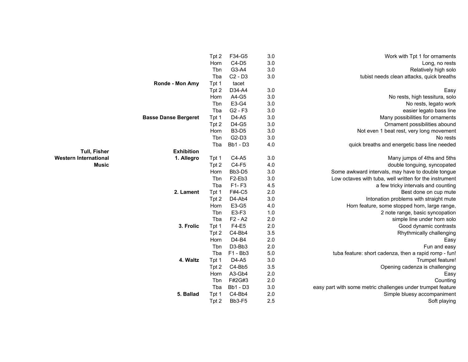|        |                             | Tpt 2 | F34-G5          | 3.0 | Work with Tpt 1 for ornaments                               |
|--------|-----------------------------|-------|-----------------|-----|-------------------------------------------------------------|
|        |                             | Horn  | $C4-D5$         | 3.0 | Long, no rests                                              |
|        |                             | Tbn   | G3-A4           | 3.0 | Relatively high solo                                        |
|        |                             | Tba   | $C2 - D3$       | 3.0 | tubist needs clean attacks, quick breaths                   |
|        | Ronde - Mon Amy             | Tpt 1 | tacet           |     |                                                             |
|        |                             | Tpt 2 | D34-A4          | 3.0 | Easy                                                        |
|        |                             | Horn  | A4-G5           | 3.0 | No rests, high tessitura, solo                              |
|        |                             | Tbn   | E3-G4           | 3.0 | No rests, legato work                                       |
|        |                             | Tba   | $G2 - F3$       | 3.0 | easier legato bass line                                     |
|        | <b>Basse Danse Bergeret</b> | Tpt 1 | D4-A5           | 3.0 | Many possibilities for ornaments                            |
|        |                             | Tpt 2 | D4-G5           | 3.0 | Ornament possibilities abound                               |
|        |                             | Horn  | <b>B3-D5</b>    | 3.0 | Not even 1 beat rest, very long movement                    |
|        |                             | Tbn   | G2-D3           | 3.0 | No rests                                                    |
|        |                             | Tba   | <b>Bb1 - D3</b> | 4.0 | quick breaths and energetic bass line needed                |
| Fisher | <b>Exhibition</b>           |       |                 |     |                                                             |
| tional | 1. Allegro                  | Tpt 1 | C4-A5           | 3.0 | Many jumps of 4ths and 5ths                                 |
| Music  |                             | Tpt 2 | $C4-F5$         | 4.0 | double tonguing, syncopated                                 |
|        |                             | Horn  | Bb3-D5          | 3.0 | Some awkward intervals, may have to double tongue           |
|        |                             | Tbn   | F2-Eb3          | 3.0 | Low octaves with tuba, well written for the instrument      |
|        |                             | Tba   | F1-F3           | 4.5 | a few tricky intervals and counting                         |
|        | 2. Lament                   | Tpt 1 | F#4-C5          | 2.0 | Best done on cup mute                                       |
|        |                             | Tpt 2 | D4-Ab4          | 3.0 | Intonation problems with straight mute                      |
|        |                             | Horn  | E3-G5           | 4.0 | Horn feature, some stopped horn, large range,               |
|        |                             | Tbn   | E3-F3           | 1.0 | 2 note range, basic syncopation                             |
|        |                             | Tba   | $F2 - A2$       | 2.0 | simple line under horn solo                                 |
|        | 3. Frolic                   | Tpt 1 | F4-E5           | 2.0 | Good dynamic contrasts                                      |
|        |                             | Tpt 2 | C4-Bb4          | 3.5 | Rhythmically challenging                                    |
|        |                             | Horn  | D4-B4           | 2.0 | Easy                                                        |
|        |                             | Tbn   | D3-Bb3          | 2.0 | Fun and easy                                                |
|        |                             | Tba   | F1 - Bb3        | 5.0 | tuba feature: short cadenza, then a rapid romp - fun!       |
|        | 4. Waltz                    | Tpt 1 | D4-A5           | 3.0 | Trumpet feature!                                            |
|        |                             | Tpt 2 | C4-Bb5          | 3.5 | Opening cadenza is challenging                              |
|        |                             | Horn  | A3-Gb4          | 2.0 | Easy                                                        |
|        |                             | Tbn   | F#2G#3          | 2.0 | Counting                                                    |
|        |                             | Tba   | <b>Bb1 - D3</b> | 3.0 | easy part with some metric challenges under trumpet feature |
|        | 5. Ballad                   | Tpt 1 | C4-Bb4          | 2.0 | Simple bluesy accompaniment                                 |
|        |                             | Tpt 2 | Bb3-F5          | 2.5 | Soft playing                                                |

**Tull, Fisher Western International<br>Music**